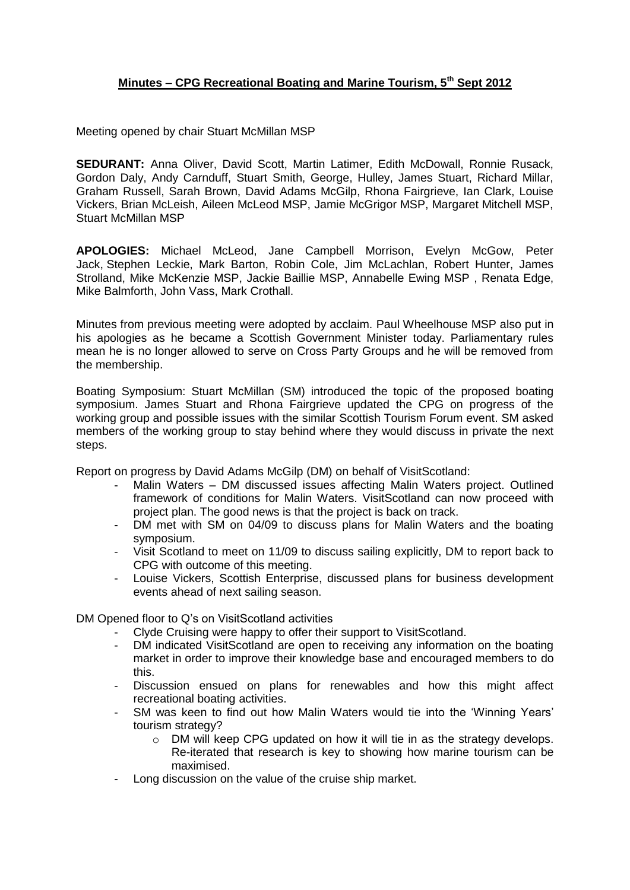## **Minutes – CPG Recreational Boating and Marine Tourism, 5th Sept 2012**

Meeting opened by chair Stuart McMillan MSP

**SEDURANT:** Anna Oliver, David Scott, Martin Latimer, Edith McDowall, Ronnie Rusack, Gordon Daly, Andy Carnduff, Stuart Smith, George, Hulley, James Stuart, Richard Millar, Graham Russell, Sarah Brown, David Adams McGilp, Rhona Fairgrieve, Ian Clark, Louise Vickers, Brian McLeish, Aileen McLeod MSP, Jamie McGrigor MSP, Margaret Mitchell MSP, Stuart McMillan MSP

**APOLOGIES:** Michael McLeod, Jane Campbell Morrison, Evelyn McGow, Peter Jack, Stephen Leckie, Mark Barton, Robin Cole, Jim McLachlan, Robert Hunter, James Strolland, Mike McKenzie MSP, Jackie Baillie MSP, Annabelle Ewing MSP , Renata Edge, Mike Balmforth, John Vass, Mark Crothall.

Minutes from previous meeting were adopted by acclaim. Paul Wheelhouse MSP also put in his apologies as he became a Scottish Government Minister today. Parliamentary rules mean he is no longer allowed to serve on Cross Party Groups and he will be removed from the membership.

Boating Symposium: Stuart McMillan (SM) introduced the topic of the proposed boating symposium. James Stuart and Rhona Fairgrieve updated the CPG on progress of the working group and possible issues with the similar Scottish Tourism Forum event. SM asked members of the working group to stay behind where they would discuss in private the next steps.

Report on progress by David Adams McGilp (DM) on behalf of VisitScotland:

- Malin Waters DM discussed issues affecting Malin Waters project. Outlined framework of conditions for Malin Waters. VisitScotland can now proceed with project plan. The good news is that the project is back on track.
- DM met with SM on 04/09 to discuss plans for Malin Waters and the boating symposium.
- Visit Scotland to meet on 11/09 to discuss sailing explicitly, DM to report back to CPG with outcome of this meeting.
- Louise Vickers, Scottish Enterprise, discussed plans for business development events ahead of next sailing season.

DM Opened floor to Q's on VisitScotland activities

- Clyde Cruising were happy to offer their support to VisitScotland.
- DM indicated VisitScotland are open to receiving any information on the boating market in order to improve their knowledge base and encouraged members to do this.
- Discussion ensued on plans for renewables and how this might affect recreational boating activities.
- SM was keen to find out how Malin Waters would tie into the 'Winning Years' tourism strategy?
	- $\circ$  DM will keep CPG updated on how it will tie in as the strategy develops. Re-iterated that research is key to showing how marine tourism can be maximised.
- Long discussion on the value of the cruise ship market.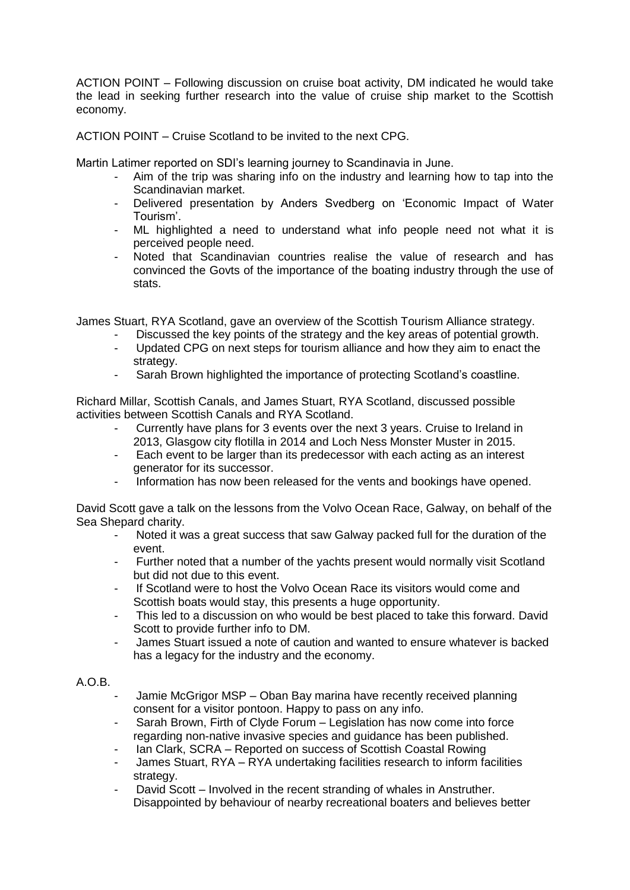ACTION POINT – Following discussion on cruise boat activity, DM indicated he would take the lead in seeking further research into the value of cruise ship market to the Scottish economy.

ACTION POINT – Cruise Scotland to be invited to the next CPG.

Martin Latimer reported on SDI's learning journey to Scandinavia in June.

- Aim of the trip was sharing info on the industry and learning how to tap into the Scandinavian market.
- Delivered presentation by Anders Svedberg on 'Economic Impact of Water Tourism'.
- ML highlighted a need to understand what info people need not what it is perceived people need.
- Noted that Scandinavian countries realise the value of research and has convinced the Govts of the importance of the boating industry through the use of stats.

James Stuart, RYA Scotland, gave an overview of the Scottish Tourism Alliance strategy.

- Discussed the key points of the strategy and the key areas of potential growth.
- Updated CPG on next steps for tourism alliance and how they aim to enact the strategy.
- Sarah Brown highlighted the importance of protecting Scotland's coastline.

Richard Millar, Scottish Canals, and James Stuart, RYA Scotland, discussed possible activities between Scottish Canals and RYA Scotland.

- Currently have plans for 3 events over the next 3 years. Cruise to Ireland in 2013, Glasgow city flotilla in 2014 and Loch Ness Monster Muster in 2015.
- Each event to be larger than its predecessor with each acting as an interest generator for its successor.
- Information has now been released for the vents and bookings have opened.

David Scott gave a talk on the lessons from the Volvo Ocean Race, Galway, on behalf of the Sea Shepard charity.

- Noted it was a great success that saw Galway packed full for the duration of the event.
- Further noted that a number of the yachts present would normally visit Scotland but did not due to this event.
- If Scotland were to host the Volvo Ocean Race its visitors would come and Scottish boats would stay, this presents a huge opportunity.
- This led to a discussion on who would be best placed to take this forward. David Scott to provide further info to DM.
- James Stuart issued a note of caution and wanted to ensure whatever is backed has a legacy for the industry and the economy.

## A.O.B.

- Jamie McGrigor MSP Oban Bay marina have recently received planning consent for a visitor pontoon. Happy to pass on any info.
- Sarah Brown, Firth of Clyde Forum Legislation has now come into force regarding non-native invasive species and guidance has been published.
- Ian Clark, SCRA Reported on success of Scottish Coastal Rowing
- James Stuart, RYA RYA undertaking facilities research to inform facilities strategy.
- David Scott Involved in the recent stranding of whales in Anstruther. Disappointed by behaviour of nearby recreational boaters and believes better